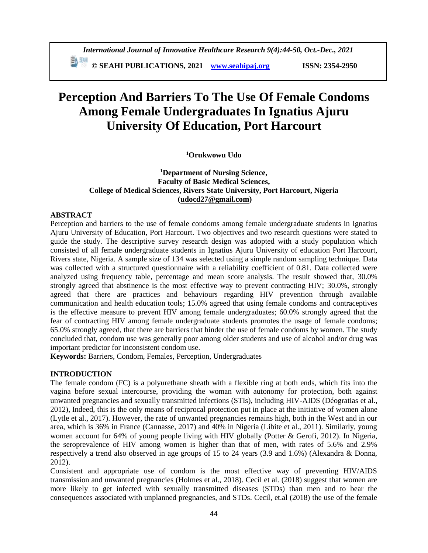# **Perception And Barriers To The Use Of Female Condoms Among Female Undergraduates In Ignatius Ajuru University Of Education, Port Harcourt**

# **<sup>1</sup>Orukwowu Udo**

# **<sup>1</sup>Department of Nursing Science, Faculty of Basic Medical Sciences, College of Medical Sciences, Rivers State University, Port Harcourt, Nigeria [\(udocd27@gmail.com\)](mailto:udocd27@gmail.com)**

# **ABSTRACT**

Perception and barriers to the use of female condoms among female undergraduate students in Ignatius Ajuru University of Education, Port Harcourt. Two objectives and two research questions were stated to guide the study. The descriptive survey research design was adopted with a study population which consisted of all female undergraduate students in Ignatius Ajuru University of education Port Harcourt, Rivers state, Nigeria. A sample size of 134 was selected using a simple random sampling technique. Data was collected with a structured questionnaire with a reliability coefficient of 0.81. Data collected were analyzed using frequency table, percentage and mean score analysis. The result showed that, 30.0% strongly agreed that abstinence is the most effective way to prevent contracting HIV; 30.0%, strongly agreed that there are practices and behaviours regarding HIV prevention through available communication and health education tools; 15.0% agreed that using female condoms and contraceptives is the effective measure to prevent HIV among female undergraduates; 60.0% strongly agreed that the fear of contracting HIV among female undergraduate students promotes the usage of female condoms; 65.0% strongly agreed, that there are barriers that hinder the use of female condoms by women. The study concluded that, condom use was generally poor among older students and use of alcohol and/or drug was important predictor for inconsistent condom use.

**Keywords:** Barriers, Condom, Females, Perception, Undergraduates

### **INTRODUCTION**

The female condom (FC) is a polyurethane sheath with a flexible ring at both ends, which fits into the vagina before sexual intercourse, providing the woman with autonomy for protection, both against unwanted pregnancies and sexually transmitted infections (STIs), including HIV-AIDS (Déogratias et al., 2012), Indeed, this is the only means of reciprocal protection put in place at the initiative of women alone (Lytle et al., 2017). However, the rate of unwanted pregnancies remains high, both in the West and in our area, which is 36% in France (Cannasse, 2017) and 40% in Nigeria (Libite et al., 2011). Similarly, young women account for 64% of young people living with HIV globally (Potter & Gerofi, 2012). In Nigeria, the seroprevalence of HIV among women is higher than that of men, with rates of 5.6% and 2.9% respectively a trend also observed in age groups of 15 to 24 years (3.9 and 1.6%) (Alexandra & Donna, 2012).

Consistent and appropriate use of condom is the most effective way of preventing HIV/AIDS transmission and unwanted pregnancies (Holmes et al., 2018). Cecil et al. (2018) suggest that women are more likely to get infected with sexually transmitted diseases (STDs) than men and to bear the consequences associated with unplanned pregnancies, and STDs. Cecil, et.al (2018) the use of the female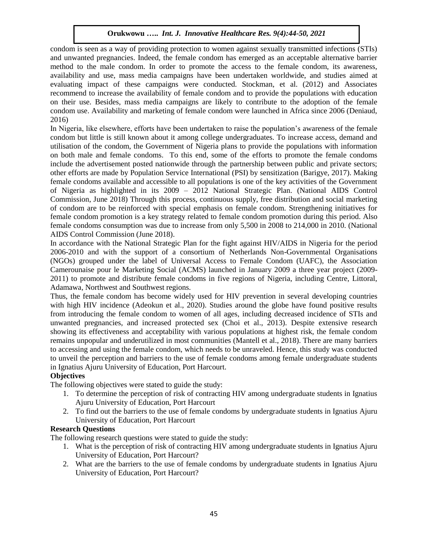condom is seen as a way of providing protection to women against sexually transmitted infections (STIs) and unwanted pregnancies. Indeed, the female condom has emerged as an acceptable alternative barrier method to the male condom. In order to promote the access to the female condom, its awareness, availability and use, mass media campaigns have been undertaken worldwide, and studies aimed at evaluating impact of these campaigns were conducted. Stockman, et al. (2012) and Associates recommend to increase the availability of female condom and to provide the populations with education on their use. Besides, mass media campaigns are likely to contribute to the adoption of the female condom use. Availability and marketing of female condom were launched in Africa since 2006 (Deniaud, 2016)

In Nigeria, like elsewhere, efforts have been undertaken to raise the population's awareness of the female condom but little is still known about it among college undergraduates. To increase access, demand and utilisation of the condom, the Government of Nigeria plans to provide the populations with information on both male and female condoms. To this end, some of the efforts to promote the female condoms include the advertisement posted nationwide through the partnership between public and private sectors; other efforts are made by Population Service International (PSI) by sensitization (Barigye, 2017). Making female condoms available and accessible to all populations is one of the key activities of the Government of Nigeria as highlighted in its 2009 – 2012 National Strategic Plan. (National AIDS Control Commission, June 2018) Through this process, continuous supply, free distribution and social marketing of condom are to be reinforced with special emphasis on female condom. Strengthening initiatives for female condom promotion is a key strategy related to female condom promotion during this period. Also female condoms consumption was due to increase from only 5,500 in 2008 to 214,000 in 2010. (National AIDS Control Commission (June 2018).

In accordance with the National Strategic Plan for the fight against HIV/AIDS in Nigeria for the period 2006-2010 and with the support of a consortium of Netherlands Non-Governmental Organisations (NGOs) grouped under the label of Universal Access to Female Condom (UAFC), the Association Camerounaise pour le Marketing Social (ACMS) launched in January 2009 a three year project (2009- 2011) to promote and distribute female condoms in five regions of Nigeria, including Centre, Littoral, Adamawa, Northwest and Southwest regions.

Thus, the female condom has become widely used for HIV prevention in several developing countries with high HIV incidence (Adeokun et al., 2020). Studies around the globe have found positive results from introducing the female condom to women of all ages, including decreased incidence of STIs and unwanted pregnancies, and increased protected sex (Choi et al., 2013). Despite extensive research showing its effectiveness and acceptability with various populations at highest risk, the female condom remains unpopular and underutilized in most communities (Mantell et al., 2018). There are many barriers to accessing and using the female condom, which needs to be unraveled. Hence, this study was conducted to unveil the perception and barriers to the use of female condoms among female undergraduate students in Ignatius Ajuru University of Education, Port Harcourt.

### **Objectives**

The following objectives were stated to guide the study:

- 1. To determine the perception of risk of contracting HIV among undergraduate students in Ignatius Ajuru University of Education, Port Harcourt
- 2. To find out the barriers to the use of female condoms by undergraduate students in Ignatius Ajuru University of Education, Port Harcourt

### **Research Questions**

The following research questions were stated to guide the study:

- 1. What is the perception of risk of contracting HIV among undergraduate students in Ignatius Ajuru University of Education, Port Harcourt?
- 2. What are the barriers to the use of female condoms by undergraduate students in Ignatius Ajuru University of Education, Port Harcourt?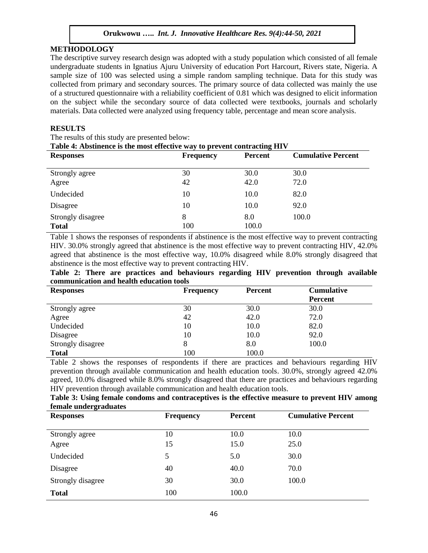### **METHODOLOGY**

The descriptive survey research design was adopted with a study population which consisted of all female undergraduate students in Ignatius Ajuru University of education Port Harcourt, Rivers state, Nigeria. A sample size of 100 was selected using a simple random sampling technique. Data for this study was collected from primary and secondary sources. The primary source of data collected was mainly the use of a structured questionnaire with a reliability coefficient of 0.81 which was designed to elicit information on the subject while the secondary source of data collected were textbooks, journals and scholarly materials. Data collected were analyzed using frequency table, percentage and mean score analysis.

## **RESULTS**

The results of this study are presented below:

**Table 4: Abstinence is the most effective way to prevent contracting HIV**

| <b>Responses</b>                  | <b>Frequency</b> | <b>Percent</b> | <b>Cumulative Percent</b> |
|-----------------------------------|------------------|----------------|---------------------------|
| Strongly agree                    | 30               | 30.0           | 30.0                      |
| Agree                             | 42               | 42.0           | 72.0                      |
| Undecided                         | 10               | 10.0           | 82.0                      |
| Disagree                          | 10               | 10.0           | 92.0                      |
| Strongly disagree<br><b>Total</b> | 8<br>100         | 8.0<br>100.0   | 100.0                     |

Table 1 shows the responses of respondents if abstinence is the most effective way to prevent contracting HIV. 30.0% strongly agreed that abstinence is the most effective way to prevent contracting HIV, 42.0% agreed that abstinence is the most effective way, 10.0% disagreed while 8.0% strongly disagreed that abstinence is the most effective way to prevent contracting HIV.

|  |  |                                          | Table 2: There are practices and behaviours regarding HIV prevention through available |  |  |  |
|--|--|------------------------------------------|----------------------------------------------------------------------------------------|--|--|--|
|  |  | communication and health education tools |                                                                                        |  |  |  |

| <b>Responses</b>  | <b>Frequency</b> | <b>Percent</b> | <b>Cumulative</b> |
|-------------------|------------------|----------------|-------------------|
|                   |                  |                | <b>Percent</b>    |
| Strongly agree    | 30               | 30.0           | 30.0              |
| Agree             | 42               | 42.0           | 72.0              |
| Undecided         | 10               | 10.0           | 82.0              |
| Disagree          | 10               | 10.0           | 92.0              |
| Strongly disagree |                  | 8.0            | 100.0             |
| <b>Total</b>      | 100              | 100.0          |                   |

Table 2 shows the responses of respondents if there are practices and behaviours regarding HIV prevention through available communication and health education tools. 30.0%, strongly agreed 42.0% agreed, 10.0% disagreed while 8.0% strongly disagreed that there are practices and behaviours regarding HIV prevention through available communication and health education tools.

**Table 3: Using female condoms and contraceptives is the effective measure to prevent HIV among female undergraduates**

| <b>Responses</b>  | <b>Frequency</b> | Percent | <b>Cumulative Percent</b> |
|-------------------|------------------|---------|---------------------------|
| Strongly agree    | 10               | 10.0    | 10.0                      |
| Agree             | 15               | 15.0    | 25.0                      |
| Undecided         | 5                | 5.0     | 30.0                      |
| Disagree          | 40               | 40.0    | 70.0                      |
| Strongly disagree | 30               | 30.0    | 100.0                     |
| <b>Total</b>      | 100              | 100.0   |                           |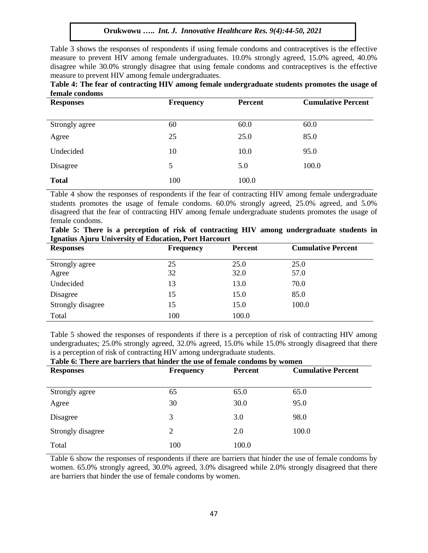Table 3 shows the responses of respondents if using female condoms and contraceptives is the effective measure to prevent HIV among female undergraduates. 10.0% strongly agreed, 15.0% agreed, 40.0% disagree while 30.0% strongly disagree that using female condoms and contraceptives is the effective measure to prevent HIV among female undergraduates.

|                | Table 4: The fear of contracting HIV among female undergraduate students promotes the usage of |  |  |
|----------------|------------------------------------------------------------------------------------------------|--|--|
| female condoms |                                                                                                |  |  |

| <b>Responses</b> | <b>Frequency</b> | Percent | <b>Cumulative Percent</b> |
|------------------|------------------|---------|---------------------------|
|                  |                  |         |                           |
| Strongly agree   | 60               | 60.0    | 60.0                      |
| Agree            | 25               | 25.0    | 85.0                      |
| Undecided        | 10               | 10.0    | 95.0                      |
| Disagree         | 5                | 5.0     | 100.0                     |
| <b>Total</b>     | 100              | 100.0   |                           |

Table 4 show the responses of respondents if the fear of contracting HIV among female undergraduate students promotes the usage of female condoms. 60.0% strongly agreed, 25.0% agreed, and 5.0% disagreed that the fear of contracting HIV among female undergraduate students promotes the usage of female condoms.

|  |                                                       |  |  | Table 5: There is a perception of risk of contracting HIV among undergraduate students in |  |
|--|-------------------------------------------------------|--|--|-------------------------------------------------------------------------------------------|--|
|  | Ignatius Ajuru University of Education, Port Harcourt |  |  |                                                                                           |  |

| <b>Responses</b>  | <b>Frequency</b> | <b>Percent</b> | <b>Cumulative Percent</b> |
|-------------------|------------------|----------------|---------------------------|
| Strongly agree    | 25               | 25.0           | 25.0                      |
| Agree             | 32               | 32.0           | 57.0                      |
| Undecided         | 13               | 13.0           | 70.0                      |
| Disagree          | 15               | 15.0           | 85.0                      |
| Strongly disagree | 15               | 15.0           | 100.0                     |
| Total             | 100              | 100.0          |                           |

Table 5 showed the responses of respondents if there is a perception of risk of contracting HIV among undergraduates; 25.0% strongly agreed, 32.0% agreed, 15.0% while 15.0% strongly disagreed that there is a perception of risk of contracting HIV among undergraduate students.<br>Table 6: There are harriors that hinder the use of famele condoms by

| Table 6: There are barriers that ninger the use of female condoms by women |                  |         |                           |  |  |  |
|----------------------------------------------------------------------------|------------------|---------|---------------------------|--|--|--|
| <b>Responses</b>                                                           | <b>Frequency</b> | Percent | <b>Cumulative Percent</b> |  |  |  |
|                                                                            |                  |         |                           |  |  |  |
| Strongly agree                                                             | 65               | 65.0    | 65.0                      |  |  |  |
| Agree                                                                      | 30               | 30.0    | 95.0                      |  |  |  |
| Disagree                                                                   | 3                | 3.0     | 98.0                      |  |  |  |
| Strongly disagree                                                          | $\overline{2}$   | 2.0     | 100.0                     |  |  |  |
| Total                                                                      | 100              | 100.0   |                           |  |  |  |

**Table 6: There are barriers that hinder the use of female condoms by women**

Table 6 show the responses of respondents if there are barriers that hinder the use of female condoms by women. 65.0% strongly agreed, 30.0% agreed, 3.0% disagreed while 2.0% strongly disagreed that there are barriers that hinder the use of female condoms by women.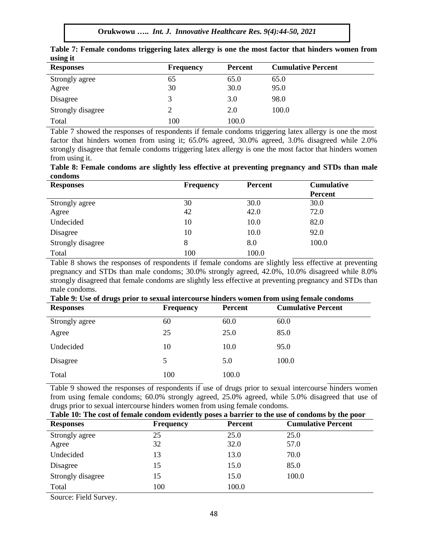**Orukwowu …..** *Int. J. Innovative Healthcare Res. 9(4):44-50, 2021*

| $\frac{1}{2}$     |                  |                |                           |
|-------------------|------------------|----------------|---------------------------|
| <b>Responses</b>  | <b>Frequency</b> | <b>Percent</b> | <b>Cumulative Percent</b> |
| Strongly agree    | 65               | 65.0           | 65.0                      |
| Agree             | 30               | 30.0           | 95.0                      |
| Disagree          |                  | 3.0            | 98.0                      |
| Strongly disagree |                  | 2.0            | 100.0                     |
| Total             | 100              | 100.0          |                           |

**Table 7: Female condoms triggering latex allergy is one the most factor that hinders women from using it**

Table 7 showed the responses of respondents if female condoms triggering latex allergy is one the most factor that hinders women from using it; 65.0% agreed, 30.0% agreed, 3.0% disagreed while 2.0% strongly disagree that female condoms triggering latex allergy is one the most factor that hinders women from using it.

**Table 8: Female condoms are slightly less effective at preventing pregnancy and STDs than male condoms**

| <b>Responses</b>  | <b>Frequency</b> | <b>Percent</b> | <b>Cumulative</b><br><b>Percent</b> |
|-------------------|------------------|----------------|-------------------------------------|
| Strongly agree    | 30               | 30.0           | 30.0                                |
| Agree             | 42               | 42.0           | 72.0                                |
| Undecided         | 10               | 10.0           | 82.0                                |
| Disagree          | 10               | 10.0           | 92.0                                |
| Strongly disagree | 8                | 8.0            | 100.0                               |
| Total             | 100              | 100.0          |                                     |

Table 8 shows the responses of respondents if female condoms are slightly less effective at preventing pregnancy and STDs than male condoms; 30.0% strongly agreed, 42.0%, 10.0% disagreed while 8.0% strongly disagreed that female condoms are slightly less effective at preventing pregnancy and STDs than male condoms.

| Table 9: Use of drugs prior to sexual intercourse hinders women from using female condoms |                  |                |                           |  |  |  |
|-------------------------------------------------------------------------------------------|------------------|----------------|---------------------------|--|--|--|
| <b>Responses</b>                                                                          | <b>Frequency</b> | <b>Percent</b> | <b>Cumulative Percent</b> |  |  |  |
| Strongly agree                                                                            | 60               | 60.0           | 60.0                      |  |  |  |
| Agree                                                                                     | 25               | 25.0           | 85.0                      |  |  |  |
| Undecided                                                                                 | 10               | 10.0           | 95.0                      |  |  |  |
| Disagree                                                                                  | 5                | 5.0            | 100.0                     |  |  |  |
| Total                                                                                     | 100              | 100.0          |                           |  |  |  |

Table 9 showed the responses of respondents if use of drugs prior to sexual intercourse hinders women from using female condoms; 60.0% strongly agreed, 25.0% agreed, while 5.0% disagreed that use of drugs prior to sexual intercourse hinders women from using female condoms.

| Table 10: The cost of female condom evidently poses a barrier to the use of condoms by the poor |                  |                |                           |  |  |  |
|-------------------------------------------------------------------------------------------------|------------------|----------------|---------------------------|--|--|--|
| <b>Responses</b>                                                                                | <b>Frequency</b> | <b>Percent</b> | <b>Cumulative Percent</b> |  |  |  |
| Strongly agree                                                                                  | 25               | 25.0           | 25.0                      |  |  |  |
| Agree                                                                                           | 32               | 32.0           | 57.0                      |  |  |  |
| Undecided                                                                                       | 13               | 13.0           | 70.0                      |  |  |  |
| Disagree                                                                                        | 15               | 15.0           | 85.0                      |  |  |  |
| Strongly disagree                                                                               | 15               | 15.0           | 100.0                     |  |  |  |
| Total                                                                                           | 100              | 100.0          |                           |  |  |  |

Source: Field Survey.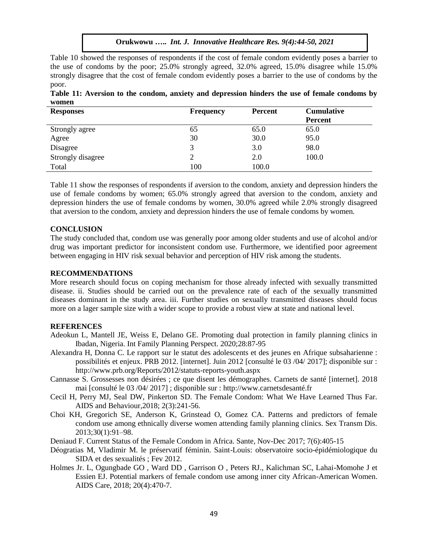Table 10 showed the responses of respondents if the cost of female condom evidently poses a barrier to the use of condoms by the poor; 25.0% strongly agreed, 32.0% agreed, 15.0% disagree while 15.0% strongly disagree that the cost of female condom evidently poses a barrier to the use of condoms by the poor.

| Table 11: Aversion to the condom, anxiety and depression hinders the use of female condoms by |  |  |  |  |  |  |
|-----------------------------------------------------------------------------------------------|--|--|--|--|--|--|
| women                                                                                         |  |  |  |  |  |  |

| <b>Responses</b>  | <b>Frequency</b> | <b>Percent</b> | <b>Cumulative</b> |
|-------------------|------------------|----------------|-------------------|
|                   |                  |                | <b>Percent</b>    |
| Strongly agree    | 65               | 65.0           | 65.0              |
| Agree             | 30               | 30.0           | 95.0              |
| Disagree          | 3                | 3.0            | 98.0              |
| Strongly disagree |                  | 2.0            | 100.0             |
| Total             | 100              | 100.0          |                   |

Table 11 show the responses of respondents if aversion to the condom, anxiety and depression hinders the use of female condoms by women; 65.0% strongly agreed that aversion to the condom, anxiety and depression hinders the use of female condoms by women, 30.0% agreed while 2.0% strongly disagreed that aversion to the condom, anxiety and depression hinders the use of female condoms by women.

#### **CONCLUSION**

The study concluded that, condom use was generally poor among older students and use of alcohol and/or drug was important predictor for inconsistent condom use. Furthermore, we identified poor agreement between engaging in HIV risk sexual behavior and perception of HIV risk among the students.

#### **RECOMMENDATIONS**

More research should focus on coping mechanism for those already infected with sexually transmitted disease. ii. Studies should be carried out on the prevalence rate of each of the sexually transmitted diseases dominant in the study area. iii. Further studies on sexually transmitted diseases should focus more on a lager sample size with a wider scope to provide a robust view at state and national level.

#### **REFERENCES**

- Adeokun L, Mantell JE, Weiss E, Delano GE. Promoting dual protection in family planning clinics in Ibadan, Nigeria. Int Family Planning Perspect. 2020;28:87-95
- Alexandra H, Donna C. Le rapport sur le statut des adolescents et des jeunes en Afrique subsaharienne : possibilités et enjeux. PRB 2012. [internet]. Juin 2012 [consulté le 03 /04/ 2017]; disponible sur : http://www.prb.org/Reports/2012/statuts-reports-youth.aspx
- Cannasse S. Grossesses non désirées ; ce que disent les démographes. Carnets de santé [internet]. 2018 mai [consulté le 03 /04/ 2017] ; disponible sur : http://www.carnetsdesanté.fr
- Cecil H, Perry MJ, Seal DW, Pinkerton SD. The Female Condom: What We Have Learned Thus Far. AIDS and Behaviour,2018; 2(3):241-56.
- Choi KH, Gregorich SE, Anderson K, Grinstead O, Gomez CA. Patterns and predictors of female condom use among ethnically diverse women attending family planning clinics. Sex Transm Dis. 2013;30(1):91–98.
- Deniaud F. Current Status of the Female Condom in Africa. Sante, Nov-Dec 2017; 7(6):405-15
- Déogratias M, Vladimir M. le préservatif féminin. Saint-Louis: observatoire socio-épidémiologique du SIDA et des sexualités ; Fev 2012.
- Holmes Jr. L, Ogungbade GO , Ward DD , Garrison O , Peters RJ., Kalichman SC, Lahai-Momohe J et Essien EJ. Potential markers of female condom use among inner city African-American Women. AIDS Care, 2018; 20(4):470-7.